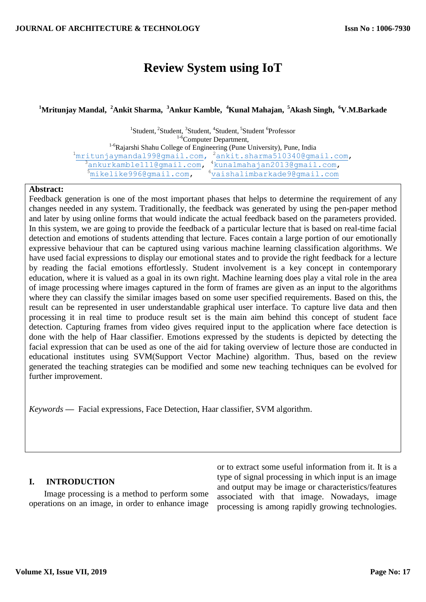# **Review System using IoT**

# **<sup>1</sup>Mritunjay Mandal, <sup>2</sup>Ankit Sharma, <sup>3</sup>Ankur Kamble, <sup>4</sup>Kunal Mahajan, <sup>5</sup>Akash Singh, <sup>6</sup>V.M.Barkade**

<sup>1</sup>Student, <sup>2</sup>Student, <sup>3</sup>Student, <sup>4</sup>Student, <sup>5</sup>Student <sup>6</sup>Professor <sup>1-6</sup>Computer Department, <sup>1-6</sup>Rajarshi Shahu College of Engineering (Pune University), Pune, India <sup>1</sup>[mritunjaymandal99@gmail.com,](mailto:1mritunjaymandal99@gmail.com) <sup>2</sup>ankit.sharma510340@gmail.com, <sup>3</sup>ankurkamble111@gmail.com, <sup>4</sup>kunalmahajan2013@gmail.com, [mikelike996@gmail.com,](mailto:5mikelike996@gmail.com) <sup>6</sup>vaishalimbarkade9@gmail.com

## **Abstract:**

Feedback generation is one of the most important phases that helps to determine the requirement of any changes needed in any system. Traditionally, the feedback was generated by using the pen-paper method and later by using online forms that would indicate the actual feedback based on the parameters provided. In this system, we are going to provide the feedback of a particular lecture that is based on real-time facial detection and emotions of students attending that lecture. Faces contain a large portion of our emotionally expressive behaviour that can be captured using various machine learning classification algorithms. We have used facial expressions to display our emotional states and to provide the right feedback for a lecture by reading the facial emotions effortlessly. Student involvement is a key concept in contemporary education, where it is valued as a goal in its own right. Machine learning does play a vital role in the area of image processing where images captured in the form of frames are given as an input to the algorithms where they can classify the similar images based on some user specified requirements. Based on this, the result can be represented in user understandable graphical user interface. To capture live data and then processing it in real time to produce result set is the main aim behind this concept of student face detection. Capturing frames from video gives required input to the application where face detection is done with the help of Haar classifier. Emotions expressed by the students is depicted by detecting the facial expression that can be used as one of the aid for taking overview of lecture those are conducted in educational institutes using SVM(Support Vector Machine) algorithm. Thus, based on the review generated the teaching strategies can be modified and some new teaching techniques can be evolved for further improvement.

*Keywords* **—** Facial expressions, Face Detection, Haar classifier, SVM algorithm.

## **I. INTRODUCTION**

 Image processing is a method to perform some operations on an image, in order to enhance image

or to extract some useful information from it. It is a type of signal processing in which input is an image and output may be image or characteristics/features associated with that image. Nowadays, image processing is among rapidly growing technologies.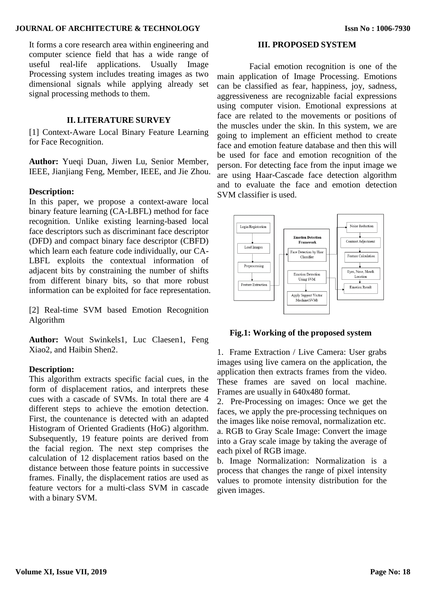#### **JOURNAL OF ARCHITECTURE & TECHNOLOGY**

It forms a core research area within engineering and computer science field that has a wide range of useful real-life applications. Usually Image Processing system includes treating images as two dimensional signals while applying already set signal processing methods to them.

#### **II. LITERATURE SURVEY**

[1] Context-Aware Local Binary Feature Learning for Face Recognition.

**Author:** Yueqi Duan, Jiwen Lu, Senior Member, IEEE, Jianjiang Feng, Member, IEEE, and Jie Zhou.

### **Description:**

In this paper, we propose a context-aware local binary feature learning (CA-LBFL) method for face recognition. Unlike existing learning-based local face descriptors such as discriminant face descriptor (DFD) and compact binary face descriptor (CBFD) which learn each feature code individually, our CA-LBFL exploits the contextual information of adjacent bits by constraining the number of shifts from different binary bits, so that more robust information can be exploited for face representation.

[2] Real-time SVM based Emotion Recognition Algorithm

Author: Wout Swinkels1, Luc Claesen1, Feng Xiao2, and Haibin Shen2.

### **Description:**

This algorithm extracts specific facial cues, in the form of displacement ratios, and interprets these cues with a cascade of SVMs. In total there are 4 different steps to achieve the emotion detection. First, the countenance is detected with an adapted Histogram of Oriented Gradients (HoG) algorithm. Subsequently, 19 feature points are derived from the facial region. The next step comprises the calculation of 12 displacement ratios based on the distance between those feature points in successive frames. Finally, the displacement ratios are used as feature vectors for a multi-class SVM in cascade with a binary SVM.

#### **III. PROPOSED SYSTEM**

 Facial emotion recognition is one of the main application of Image Processing. Emotions can be classified as fear, happiness, joy, sadness, aggressiveness are recognizable facial expressions using computer vision. Emotional expressions at face are related to the movements or positions of the muscles under the skin. In this system, we are going to implement an efficient method to create face and emotion feature database and then this will be used for face and emotion recognition of the person. For detecting face from the input image we are using Haar-Cascade face detection algorithm and to evaluate the face and emotion detection SVM classifier is used.



#### **Fig.1: Working of the proposed system**

1. Frame Extraction / Live Camera: User grabs images using live camera on the application, the application then extracts frames from the video. These frames are saved on local machine. Frames are usually in 640x480 format.

2. Pre-Processing on images: Once we get the faces, we apply the pre-processing techniques on the images like noise removal, normalization etc. a. RGB to Gray Scale Image: Convert the image into a Gray scale image by taking the average of each pixel of RGB image.

b. Image Normalization: Normalization is a process that changes the range of pixel intensity values to promote intensity distribution for the given images.